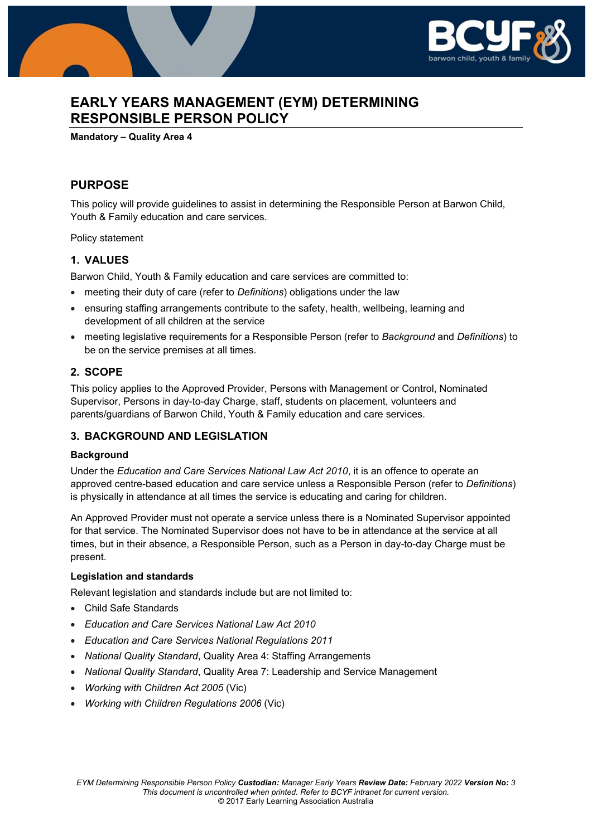

# **EARLY YEARS MANAGEMENT (EYM) DETERMINING RESPONSIBLE PERSON POLICY**

#### **Mandatory – Quality Area 4**

## **PURPOSE**

This policy will provide guidelines to assist in determining the Responsible Person at Barwon Child, Youth & Family education and care services.

Policy statement

### **1. VALUES**

Barwon Child, Youth & Family education and care services are committed to:

- meeting their duty of care (refer to *Definitions*) obligations under the law
- ensuring staffing arrangements contribute to the safety, health, wellbeing, learning and development of all children at the service
- meeting legislative requirements for a Responsible Person (refer to *Background* and *Definitions*) to be on the service premises at all times.

### **2. SCOPE**

This policy applies to the Approved Provider, Persons with Management or Control, Nominated Supervisor, Persons in day-to-day Charge, staff, students on placement, volunteers and parents/guardians of Barwon Child, Youth & Family education and care services.

### **3. BACKGROUND AND LEGISLATION**

### **Background**

Under the *Education and Care Services National Law Act 2010*, it is an offence to operate an approved centre-based education and care service unless a Responsible Person (refer to *Definitions*) is physically in attendance at all times the service is educating and caring for children.

An Approved Provider must not operate a service unless there is a Nominated Supervisor appointed for that service. The Nominated Supervisor does not have to be in attendance at the service at all times, but in their absence, a Responsible Person, such as a Person in day-to-day Charge must be present.

#### **Legislation and standards**

Relevant legislation and standards include but are not limited to:

- Child Safe Standards
- *Education and Care Services National Law Act 2010*
- *Education and Care Services National Regulations 2011*
- *National Quality Standard*, Quality Area 4: Staffing Arrangements
- *National Quality Standard*, Quality Area 7: Leadership and Service Management
- *Working with Children Act 2005* (Vic)
- *Working with Children Regulations 2006* (Vic)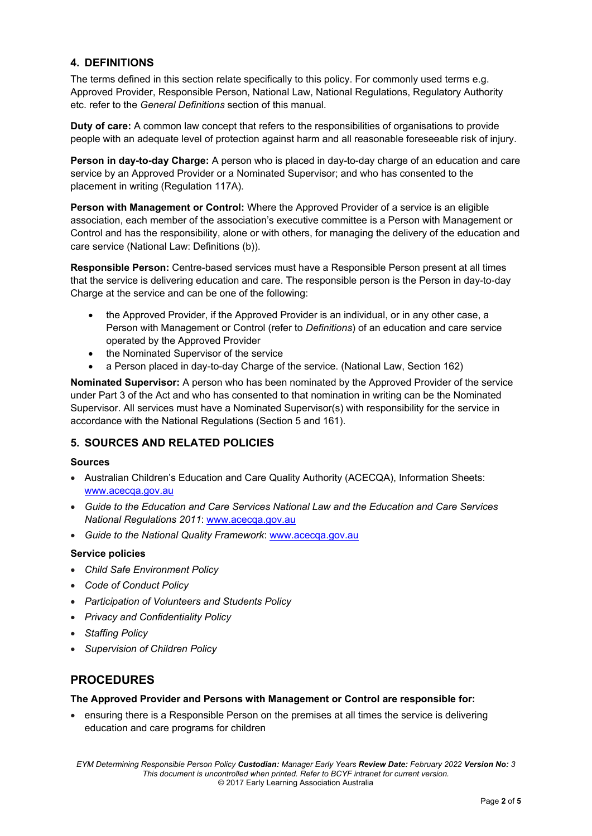## **4. DEFINITIONS**

The terms defined in this section relate specifically to this policy. For commonly used terms e.g. Approved Provider, Responsible Person, National Law, National Regulations, Regulatory Authority etc. refer to the *General Definitions* section of this manual.

**Duty of care:** A common law concept that refers to the responsibilities of organisations to provide people with an adequate level of protection against harm and all reasonable foreseeable risk of injury.

**Person in day-to-day Charge:** A person who is placed in day-to-day charge of an education and care service by an Approved Provider or a Nominated Supervisor; and who has consented to the placement in writing (Regulation 117A).

**Person with Management or Control:** Where the Approved Provider of a service is an eligible association, each member of the association's executive committee is a Person with Management or Control and has the responsibility, alone or with others, for managing the delivery of the education and care service (National Law: Definitions (b)).

**Responsible Person:** Centre-based services must have a Responsible Person present at all times that the service is delivering education and care. The responsible person is the Person in day-to-day Charge at the service and can be one of the following:

- the Approved Provider, if the Approved Provider is an individual, or in any other case, a Person with Management or Control (refer to *Definitions*) of an education and care service operated by the Approved Provider
- the Nominated Supervisor of the service
- a Person placed in day-to-day Charge of the service. (National Law, Section 162)

**Nominated Supervisor:** A person who has been nominated by the Approved Provider of the service under Part 3 of the Act and who has consented to that nomination in writing can be the Nominated Supervisor. All services must have a Nominated Supervisor(s) with responsibility for the service in accordance with the National Regulations (Section 5 and 161).

### **5. SOURCES AND RELATED POLICIES**

### **Sources**

- Australian Children's Education and Care Quality Authority (ACECQA), Information Sheets: www.acecqa.gov.au
- *Guide to the Education and Care Services National Law and the Education and Care Services National Regulations 2011*: www.acecqa.gov.au
- *Guide to the National Quality Framework*: www.acecqa.gov.au

### **Service policies**

- *Child Safe Environment Policy*
- *Code of Conduct Policy*
- *Participation of Volunteers and Students Policy*
- *Privacy and Confidentiality Policy*
- *Staffing Policy*
- *Supervision of Children Policy*

## **PROCEDURES**

### **The Approved Provider and Persons with Management or Control are responsible for:**

 ensuring there is a Responsible Person on the premises at all times the service is delivering education and care programs for children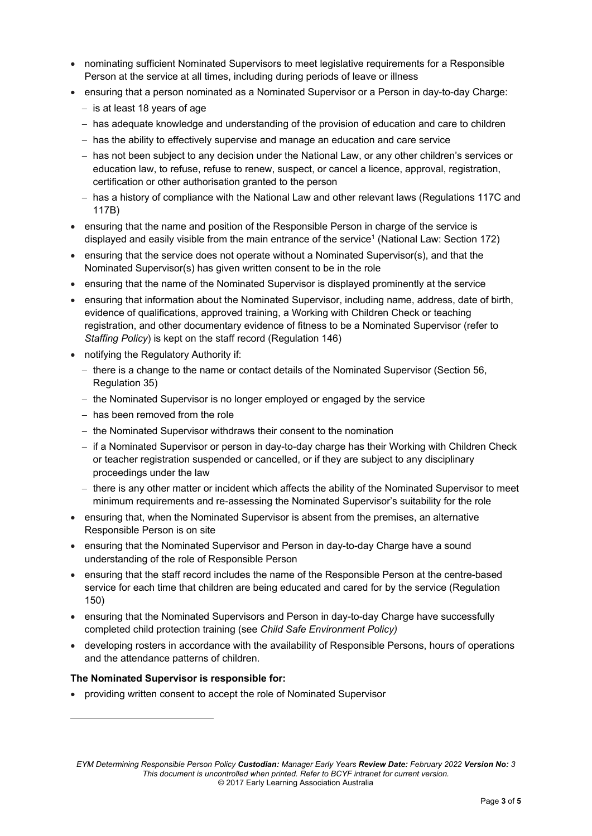- nominating sufficient Nominated Supervisors to meet legislative requirements for a Responsible Person at the service at all times, including during periods of leave or illness
- ensuring that a person nominated as a Nominated Supervisor or a Person in day-to-day Charge:
	- $-$  is at least 18 years of age
	- has adequate knowledge and understanding of the provision of education and care to children
	- $-$  has the ability to effectively supervise and manage an education and care service
	- has not been subject to any decision under the National Law, or any other children's services or education law, to refuse, refuse to renew, suspect, or cancel a licence, approval, registration, certification or other authorisation granted to the person
	- has a history of compliance with the National Law and other relevant laws (Regulations 117C and 117B)
- ensuring that the name and position of the Responsible Person in charge of the service is displayed and easily visible from the main entrance of the service<sup>1</sup> (National Law: Section 172)
- ensuring that the service does not operate without a Nominated Supervisor(s), and that the Nominated Supervisor(s) has given written consent to be in the role
- ensuring that the name of the Nominated Supervisor is displayed prominently at the service
- ensuring that information about the Nominated Supervisor, including name, address, date of birth, evidence of qualifications, approved training, a Working with Children Check or teaching registration, and other documentary evidence of fitness to be a Nominated Supervisor (refer to *Staffing Policy*) is kept on the staff record (Regulation 146)
- notifying the Regulatory Authority if:
	- $-$  there is a change to the name or contact details of the Nominated Supervisor (Section 56, Regulation 35)
	- $-$  the Nominated Supervisor is no longer employed or engaged by the service
	- $-$  has been removed from the role
	- $-$  the Nominated Supervisor withdraws their consent to the nomination
	- if a Nominated Supervisor or person in day-to-day charge has their Working with Children Check or teacher registration suspended or cancelled, or if they are subject to any disciplinary proceedings under the law
	- $-$  there is any other matter or incident which affects the ability of the Nominated Supervisor to meet minimum requirements and re-assessing the Nominated Supervisor's suitability for the role
- ensuring that, when the Nominated Supervisor is absent from the premises, an alternative Responsible Person is on site
- ensuring that the Nominated Supervisor and Person in day-to-day Charge have a sound understanding of the role of Responsible Person
- ensuring that the staff record includes the name of the Responsible Person at the centre-based service for each time that children are being educated and cared for by the service (Regulation 150)
- ensuring that the Nominated Supervisors and Person in day-to-day Charge have successfully completed child protection training (see *Child Safe Environment Policy)*
- developing rosters in accordance with the availability of Responsible Persons, hours of operations and the attendance patterns of children.

### **The Nominated Supervisor is responsible for:**

 $\overline{a}$ 

providing written consent to accept the role of Nominated Supervisor

*EYM Determining Responsible Person Policy Custodian: Manager Early Years Review Date: February 2022 Version No: 3 This document is uncontrolled when printed. Refer to BCYF intranet for current version.*  © 2017 Early Learning Association Australia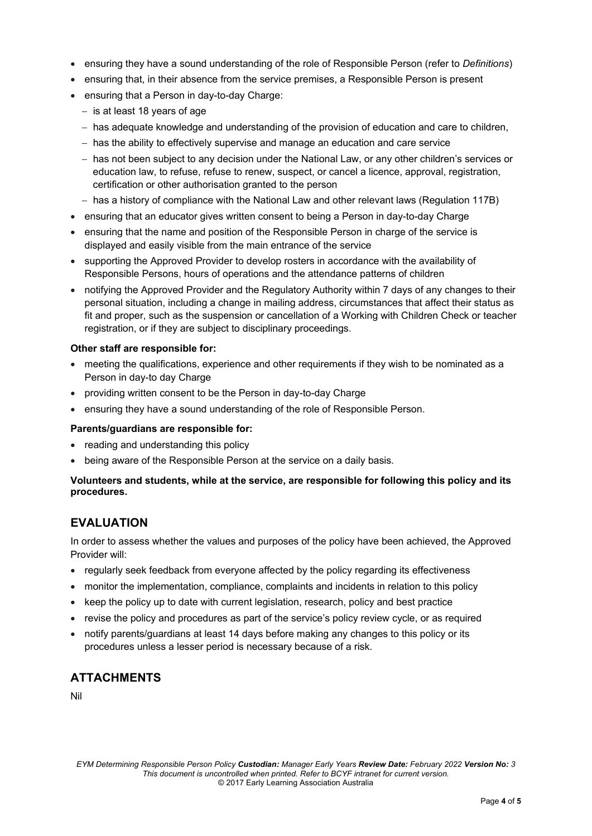- ensuring they have a sound understanding of the role of Responsible Person (refer to *Definitions*)
- ensuring that, in their absence from the service premises, a Responsible Person is present
- ensuring that a Person in day-to-day Charge:
	- $-$  is at least 18 years of age
	- $h$  has adequate knowledge and understanding of the provision of education and care to children,
	- $-$  has the ability to effectively supervise and manage an education and care service
	- has not been subject to any decision under the National Law, or any other children's services or education law, to refuse, refuse to renew, suspect, or cancel a licence, approval, registration, certification or other authorisation granted to the person
	- has a history of compliance with the National Law and other relevant laws (Regulation 117B)
- ensuring that an educator gives written consent to being a Person in day-to-day Charge
- ensuring that the name and position of the Responsible Person in charge of the service is displayed and easily visible from the main entrance of the service
- supporting the Approved Provider to develop rosters in accordance with the availability of Responsible Persons, hours of operations and the attendance patterns of children
- notifying the Approved Provider and the Regulatory Authority within 7 days of any changes to their personal situation, including a change in mailing address, circumstances that affect their status as fit and proper, such as the suspension or cancellation of a Working with Children Check or teacher registration, or if they are subject to disciplinary proceedings.

### **Other staff are responsible for:**

- meeting the qualifications, experience and other requirements if they wish to be nominated as a Person in day-to day Charge
- providing written consent to be the Person in day-to-day Charge
- ensuring they have a sound understanding of the role of Responsible Person.

### **Parents/guardians are responsible for:**

- reading and understanding this policy
- being aware of the Responsible Person at the service on a daily basis.

### **Volunteers and students, while at the service, are responsible for following this policy and its procedures.**

## **EVALUATION**

In order to assess whether the values and purposes of the policy have been achieved, the Approved Provider will:

- regularly seek feedback from everyone affected by the policy regarding its effectiveness
- monitor the implementation, compliance, complaints and incidents in relation to this policy
- keep the policy up to date with current legislation, research, policy and best practice
- revise the policy and procedures as part of the service's policy review cycle, or as required
- notify parents/guardians at least 14 days before making any changes to this policy or its procedures unless a lesser period is necessary because of a risk.

# **ATTACHMENTS**

Nil